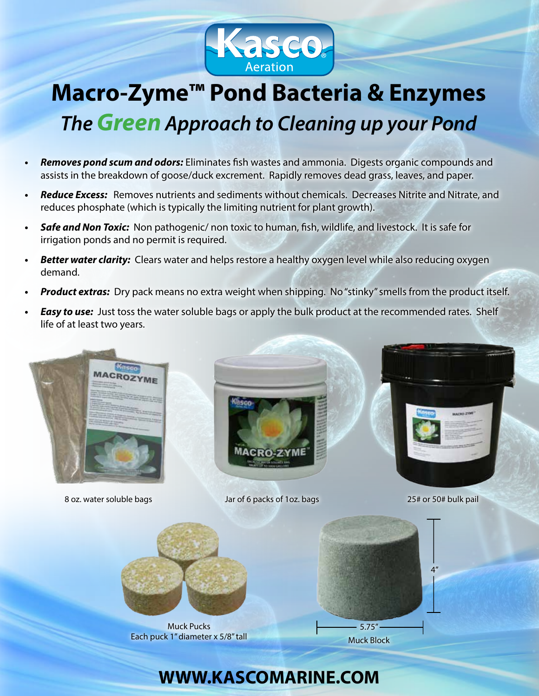

# **Macro-Zyme™ Pond Bacteria & Enzymes** *TheGreen Approach to Cleaning up your Pond*

- **•**  *Removes pond scum and odors:* Eliminates fish wastes and ammonia. Digests organic compounds and assists in the breakdown of goose/duck excrement. Rapidly removes dead grass, leaves, and paper.
- **•**  *Reduce Excess:* Removes nutrients and sediments without chemicals. Decreases Nitrite and Nitrate, and reduces phosphate (which is typically the limiting nutrient for plant growth).
- **Safe and Non Toxic:** Non pathogenic/ non toxic to human, fish, wildlife, and livestock. It is safe for irrigation ponds and no permit is required.
- **Better water clarity:** Clears water and helps restore a healthy oxygen level while also reducing oxygen demand.
- **Product extras:** Dry pack means no extra weight when shipping. No "stinky" smells from the product itself.
- **Easy to use:** Just toss the water soluble bags or apply the bulk product at the recommended rates. Shelf life of at least two years.



Muck Pucks Each puck 1" diameter x 5/8" tall

Muck Block

### **WWW.KASCOMARINE.COM**